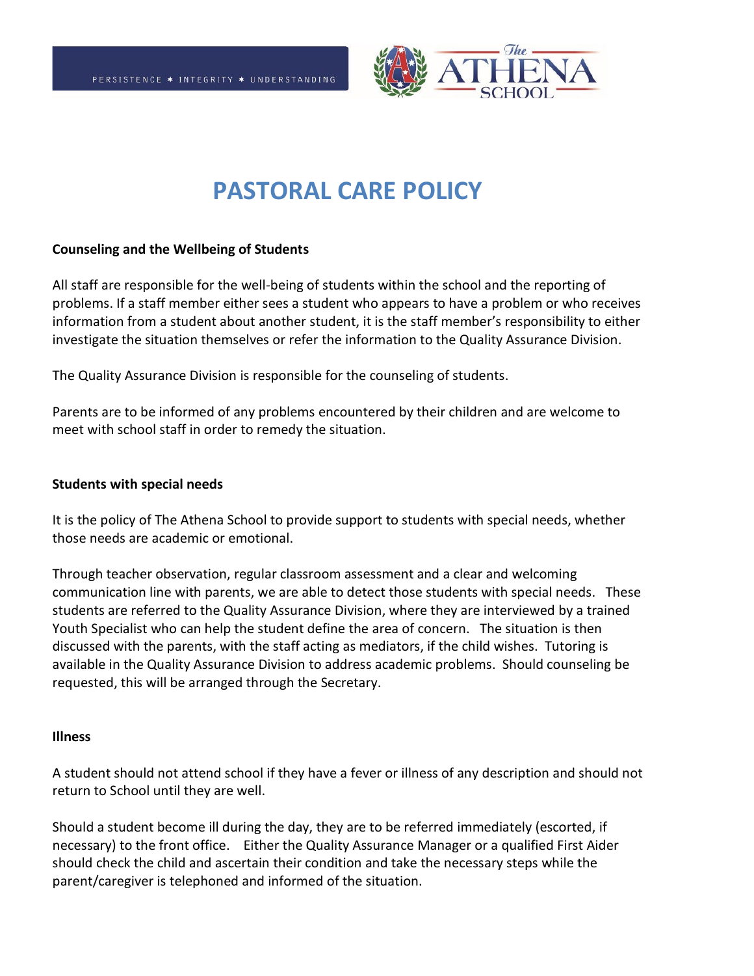

# **PASTORAL CARE POLICY**

#### **Counseling and the Wellbeing of Students**

All staff are responsible for the well-being of students within the school and the reporting of problems. If a staff member either sees a student who appears to have a problem or who receives information from a student about another student, it is the staff member's responsibility to either investigate the situation themselves or refer the information to the Quality Assurance Division.

The Quality Assurance Division is responsible for the counseling of students.

Parents are to be informed of any problems encountered by their children and are welcome to meet with school staff in order to remedy the situation.

#### **Students with special needs**

It is the policy of The Athena School to provide support to students with special needs, whether those needs are academic or emotional.

Through teacher observation, regular classroom assessment and a clear and welcoming communication line with parents, we are able to detect those students with special needs. These students are referred to the Quality Assurance Division, where they are interviewed by a trained Youth Specialist who can help the student define the area of concern. The situation is then discussed with the parents, with the staff acting as mediators, if the child wishes. Tutoring is available in the Quality Assurance Division to address academic problems. Should counseling be requested, this will be arranged through the Secretary.

#### **Illness**

A student should not attend school if they have a fever or illness of any description and should not return to School until they are well.

Should a student become ill during the day, they are to be referred immediately (escorted, if necessary) to the front office. Either the Quality Assurance Manager or a qualified First Aider should check the child and ascertain their condition and take the necessary steps while the parent/caregiver is telephoned and informed of the situation.